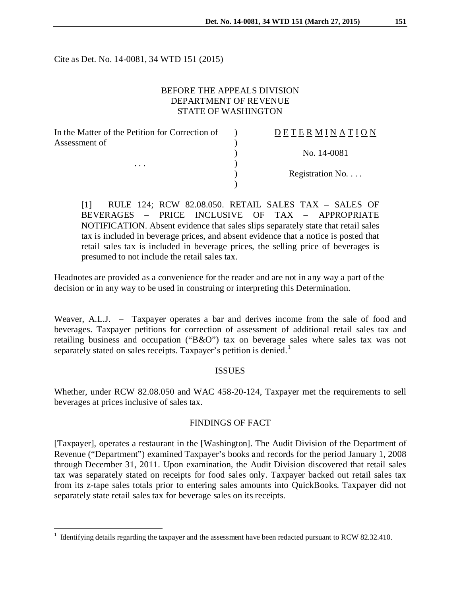Cite as Det. No. 14-0081, 34 WTD 151 (2015)

# BEFORE THE APPEALS DIVISION DEPARTMENT OF REVENUE STATE OF WASHINGTON

| <b>DETERMINATION</b> |
|----------------------|
|                      |
| No. 14-0081          |
|                      |
| Registration No      |
|                      |
|                      |

[1] RULE 124; RCW 82.08.050. RETAIL SALES TAX – SALES OF BEVERAGES – PRICE INCLUSIVE OF TAX – APPROPRIATE NOTIFICATION. Absent evidence that sales slips separately state that retail sales tax is included in beverage prices, and absent evidence that a notice is posted that retail sales tax is included in beverage prices, the selling price of beverages is presumed to not include the retail sales tax.

Headnotes are provided as a convenience for the reader and are not in any way a part of the decision or in any way to be used in construing or interpreting this Determination.

Weaver, A.L.J. – Taxpayer operates a bar and derives income from the sale of food and beverages. Taxpayer petitions for correction of assessment of additional retail sales tax and retailing business and occupation ("B&O") tax on beverage sales where sales tax was not separately stated on sales receipts. Taxpayer's petition is denied.<sup>[1](#page-0-0)</sup>

### ISSUES

Whether, under RCW 82.08.050 and WAC 458-20-124, Taxpayer met the requirements to sell beverages at prices inclusive of sales tax.

# FINDINGS OF FACT

[Taxpayer], operates a restaurant in the [Washington]. The Audit Division of the Department of Revenue ("Department") examined Taxpayer's books and records for the period January 1, 2008 through December 31, 2011. Upon examination, the Audit Division discovered that retail sales tax was separately stated on receipts for food sales only. Taxpayer backed out retail sales tax from its z-tape sales totals prior to entering sales amounts into QuickBooks. Taxpayer did not separately state retail sales tax for beverage sales on its receipts.

<span id="page-0-0"></span> $1$  Identifying details regarding the taxpayer and the assessment have been redacted pursuant to RCW 82.32.410.  $\overline{a}$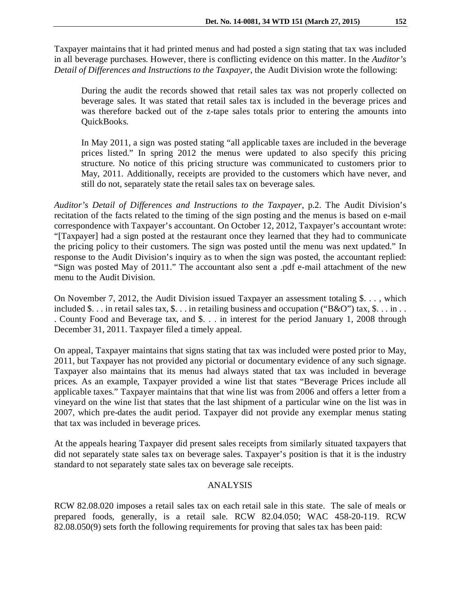Taxpayer maintains that it had printed menus and had posted a sign stating that tax was included in all beverage purchases. However, there is conflicting evidence on this matter. In the *Auditor's Detail of Differences and Instructions to the Taxpayer*, the Audit Division wrote the following:

During the audit the records showed that retail sales tax was not properly collected on beverage sales. It was stated that retail sales tax is included in the beverage prices and was therefore backed out of the z-tape sales totals prior to entering the amounts into QuickBooks.

In May 2011, a sign was posted stating "all applicable taxes are included in the beverage prices listed." In spring 2012 the menus were updated to also specify this pricing structure. No notice of this pricing structure was communicated to customers prior to May, 2011. Additionally, receipts are provided to the customers which have never, and still do not, separately state the retail sales tax on beverage sales.

*Auditor's Detail of Differences and Instructions to the Taxpayer*, p.2. The Audit Division's recitation of the facts related to the timing of the sign posting and the menus is based on e-mail correspondence with Taxpayer's accountant. On October 12, 2012, Taxpayer's accountant wrote: "[Taxpayer] had a sign posted at the restaurant once they learned that they had to communicate the pricing policy to their customers. The sign was posted until the menu was next updated." In response to the Audit Division's inquiry as to when the sign was posted, the accountant replied: "Sign was posted May of 2011." The accountant also sent a .pdf e-mail attachment of the new menu to the Audit Division.

On November 7, 2012, the Audit Division issued Taxpayer an assessment totaling \$. . . , which included \$... in retail sales tax, \$... in retailing business and occupation ("B&O") tax, \$... in.. . County Food and Beverage tax, and \$. . . in interest for the period January 1, 2008 through December 31, 2011. Taxpayer filed a timely appeal.

On appeal, Taxpayer maintains that signs stating that tax was included were posted prior to May, 2011, but Taxpayer has not provided any pictorial or documentary evidence of any such signage. Taxpayer also maintains that its menus had always stated that tax was included in beverage prices. As an example, Taxpayer provided a wine list that states "Beverage Prices include all applicable taxes." Taxpayer maintains that that wine list was from 2006 and offers a letter from a vineyard on the wine list that states that the last shipment of a particular wine on the list was in 2007, which pre-dates the audit period. Taxpayer did not provide any exemplar menus stating that tax was included in beverage prices.

At the appeals hearing Taxpayer did present sales receipts from similarly situated taxpayers that did not separately state sales tax on beverage sales. Taxpayer's position is that it is the industry standard to not separately state sales tax on beverage sale receipts.

# ANALYSIS

RCW 82.08.020 imposes a retail sales tax on each retail sale in this state. The sale of meals or prepared foods, generally, is a retail sale. RCW 82.04.050; WAC 458-20-119. RCW 82.08.050(9) sets forth the following requirements for proving that sales tax has been paid: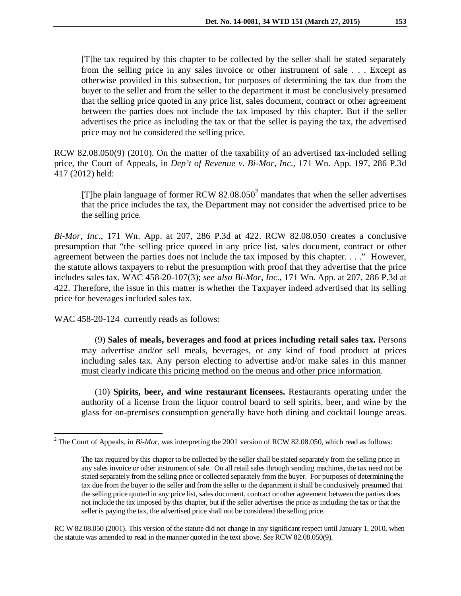[T]he tax required by this chapter to be collected by the seller shall be stated separately from the selling price in any sales invoice or other instrument of sale . . . Except as otherwise provided in this subsection, for purposes of determining the tax due from the buyer to the seller and from the seller to the department it must be conclusively presumed that the selling price quoted in any price list, sales document, contract or other agreement between the parties does not include the tax imposed by this chapter. But if the seller advertises the price as including the tax or that the seller is paying the tax, the advertised price may not be considered the selling price.

RCW 82.08.050(9) (2010). On the matter of the taxability of an advertised tax-included selling price, the Court of Appeals, in *Dep't of Revenue v. Bi-Mor, Inc.*, 171 Wn. App. 197, 286 P.3d 417 (2012) held:

[T]he plain language of former RCW  $82.08.050^2$  $82.08.050^2$  $82.08.050^2$  mandates that when the seller advertises that the price includes the tax, the Department may not consider the advertised price to be the selling price.

*Bi-Mor*, *Inc.*, 171 Wn. App. at 207, 286 P.3d at 422. RCW 82.08.050 creates a conclusive presumption that "the selling price quoted in any price list, sales document, contract or other agreement between the parties does not include the tax imposed by this chapter. . . ." However, the statute allows taxpayers to rebut the presumption with proof that they advertise that the price includes sales tax. WAC 458-20-107(3); *see also Bi-Mor, Inc.*, 171 Wn. App. at 207, 286 P.3d at 422. Therefore, the issue in this matter is whether the Taxpayer indeed advertised that its selling price for beverages included sales tax.

WAC 458-20-124 currently reads as follows:

(9) **Sales of meals, beverages and food at prices including retail sales tax.** Persons may advertise and/or sell meals, beverages, or any kind of food product at prices including sales tax. Any person electing to advertise and/or make sales in this manner must clearly indicate this pricing method on the menus and other price information.

(10) **Spirits, beer, and wine restaurant licensees.** Restaurants operating under the authority of a license from the liquor control board to sell spirits, beer, and wine by the glass for on-premises consumption generally have both dining and cocktail lounge areas.

RC W 82.08.050 (2001). This version of the statute did not change in any significant respect until January 1, 2010, when the statute was amended to read in the manner quoted in the text above. *See*RCW 82.08.050(9).

<span id="page-2-0"></span><sup>&</sup>lt;sup>2</sup> The Court of Appeals, in *Bi-Mor*, was interpreting the 2001 version of RCW 82.08.050, which read as follows:  $\overline{a}$ 

The tax required by this chapter to be collected by the seller shall be stated separately from the selling price in any sales invoice or other instrument of sale. On all retail sales through vending machines, the tax need not be stated separately from the selling price or collected separately from the buyer. For purposes of determining the tax due from the buyer to the seller and from the seller to the department it shall be conclusively presumed that the selling price quoted in any price list, sales document, contract or other agreement between the parties does not include the tax imposed by this chapter, but if the seller advertises the price as including the tax or that the seller is paying the tax, the advertised price shall not be considered the selling price.